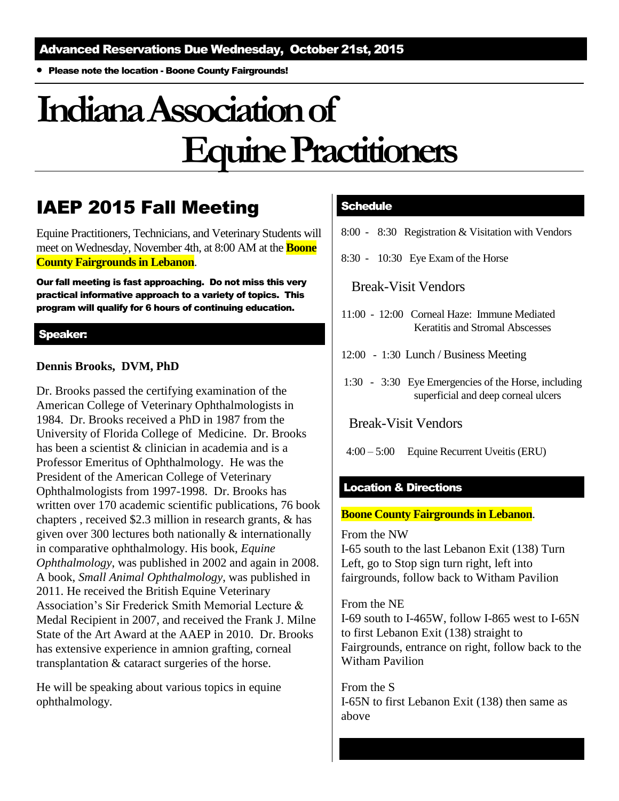Please note the location - Boone County Fairgrounds!

# **Indiana Association of Equine Practitioners**

### IAEP 2015 Fall Meeting

Equine Practitioners, Technicians, and Veterinary Students will meet on Wednesday, November 4th, at 8:00 AM at the **Boone County Fairgrounds in Lebanon**.

Our fall meeting is fast approaching. Do not miss this very practical informative approach to a variety of topics. This program will qualify for 6 hours of continuing education.

#### Speaker:

#### **Dennis Brooks, DVM, PhD**

Dr. Brooks passed the certifying examination of the American College of Veterinary Ophthalmologists in 1984. Dr. Brooks received a PhD in 1987 from the University of Florida College of Medicine. Dr. Brooks has been a scientist & clinician in academia and is a Professor Emeritus of Ophthalmology. He was the President of the American College of Veterinary Ophthalmologists from 1997-1998. Dr. Brooks has written over 170 academic scientific publications, 76 book chapters , received \$2.3 million in research grants, & has given over 300 lectures both nationally & internationally in comparative ophthalmology. His book, *Equine Ophthalmology*, was published in 2002 and again in 2008. A book, *Small Animal Ophthalmology*, was published in 2011. He received the British Equine Veterinary Association's Sir Frederick Smith Memorial Lecture & Medal Recipient in 2007, and received the Frank J. Milne State of the Art Award at the AAEP in 2010. Dr. Brooks has extensive experience in amnion grafting, corneal transplantation & cataract surgeries of the horse.

He will be speaking about various topics in equine ophthalmology.

#### **Schedule**

- 8:00 8:30 Registration & Visitation with Vendors
- 8:30 10:30 Eye Exam of the Horse

Break-Visit Vendors

- 11:00 12:00 Corneal Haze: Immune Mediated Keratitis and Stromal Abscesses
- 12:00 1:30 Lunch / Business Meeting
- 1:30 3:30 Eye Emergencies of the Horse, including superficial and deep corneal ulcers

Break-Visit Vendors

4:00 – 5:00 Equine Recurrent Uveitis (ERU)

#### Location & Directions

#### **Boone County Fairgrounds in Lebanon**.

From the NW

I-65 south to the last Lebanon Exit (138) Turn Left, go to Stop sign turn right, left into fairgrounds, follow back to Witham Pavilion

From the NE I-69 south to I-465W, follow I-865 west to I-65N to first Lebanon Exit (138) straight to Fairgrounds, entrance on right, follow back to the Witham Pavilion

From the S I-65N to first Lebanon Exit (138) then same as above